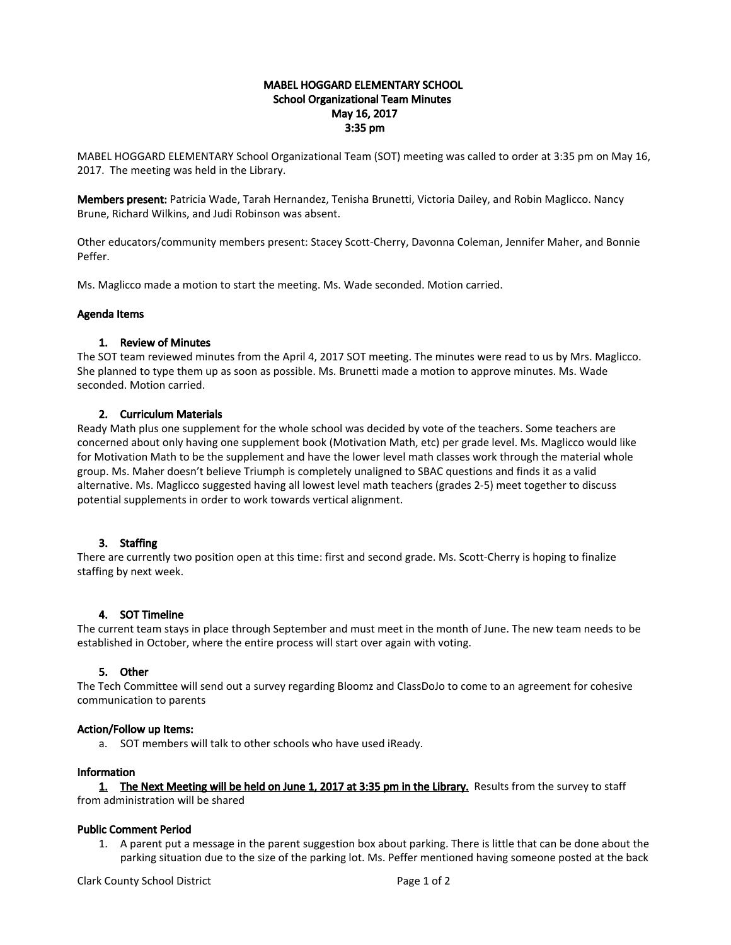### MABEL HOGGARD ELEMENTARY SCHOOL School Organizational Team Minutes May 16, 2017 3:35 pm

MABEL HOGGARD ELEMENTARY School Organizational Team (SOT) meeting was called to order at 3:35 pm on May 16, 2017. The meeting was held in the Library.

Members present: Patricia Wade, Tarah Hernandez, Tenisha Brunetti, Victoria Dailey, and Robin Maglicco. Nancy Brune, Richard Wilkins, and Judi Robinson was absent.

Other educators/community members present: Stacey Scott-Cherry, Davonna Coleman, Jennifer Maher, and Bonnie Peffer.

Ms. Maglicco made a motion to start the meeting. Ms. Wade seconded. Motion carried.

#### Agenda Items

### 1. Review of Minutes

The SOT team reviewed minutes from the April 4, 2017 SOT meeting. The minutes were read to us by Mrs. Maglicco. She planned to type them up as soon as possible. Ms. Brunetti made a motion to approve minutes. Ms. Wade seconded. Motion carried.

### 2. Curriculum Materials

Ready Math plus one supplement for the whole school was decided by vote of the teachers. Some teachers are concerned about only having one supplement book (Motivation Math, etc) per grade level. Ms. Maglicco would like for Motivation Math to be the supplement and have the lower level math classes work through the material whole group. Ms. Maher doesn't believe Triumph is completely unaligned to SBAC questions and finds it as a valid alternative. Ms. Maglicco suggested having all lowest level math teachers (grades 2-5) meet together to discuss potential supplements in order to work towards vertical alignment.

# 3. Staffing

There are currently two position open at this time: first and second grade. Ms. Scott-Cherry is hoping to finalize staffing by next week.

#### 4. SOT Timeline

The current team stays in place through September and must meet in the month of June. The new team needs to be established in October, where the entire process will start over again with voting.

# 5. Other

The Tech Committee will send out a survey regarding Bloomz and ClassDoJo to come to an agreement for cohesive communication to parents

#### Action/Follow up Items:

a. SOT members will talk to other schools who have used iReady.

#### Information

1. The Next Meeting will be held on June 1, 2017 at 3:35 pm in the Library. Results from the survey to staff

from administration will be shared

# Public Comment Period

1. A parent put a message in the parent suggestion box about parking. There is little that can be done about the parking situation due to the size of the parking lot. Ms. Peffer mentioned having someone posted at the back

Clark County School District **Page 1 of 2** and 2 and 2 and 2 and 2 and 2 and 2 and 2 and 2 and 2 and 2 and 2 and 2 and 2 and 2 and 2 and 2 and 2 and 2 and 2 and 2 and 2 and 2 and 2 and 2 and 2 and 2 and 2 and 2 and 2 and 2